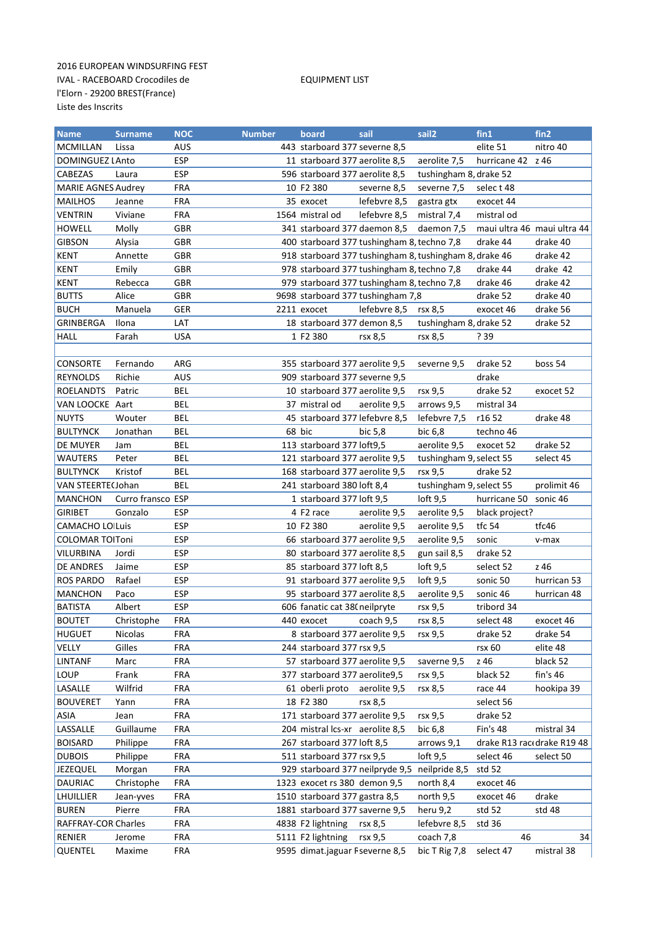## 2016 EUROPEAN WINDSURFING FEST IVAL - RACEBOARD Crocodiles de EQUIPMENT LIST l'Elorn - 29200 BREST(France) Liste des Inscrits

| <b>Name</b>               | <b>Surname</b>    | <b>NOC</b> | <b>Number</b> | board                                      | sail         | sail <sub>2</sub>                                      | fin1              | fin2                        |
|---------------------------|-------------------|------------|---------------|--------------------------------------------|--------------|--------------------------------------------------------|-------------------|-----------------------------|
| <b>MCMILLAN</b>           | Lissa             | AUS        |               | 443 starboard 377 severne 8,5              |              |                                                        | elite 51          | nitro 40                    |
| DOMINGUEZ LAnto           |                   | <b>ESP</b> |               | 11 starboard 377 aerolite 8,5              |              | aerolite 7,5                                           | hurricane 42 z 46 |                             |
| CABEZAS                   | Laura             | <b>ESP</b> |               | 596 starboard 377 aerolite 8,5             |              | tushingham 8, drake 52                                 |                   |                             |
| <b>MARIE AGNES Audrey</b> |                   | <b>FRA</b> |               | 10 F2 380                                  | severne 8,5  | severne 7,5                                            | select 48         |                             |
| <b>MAILHOS</b>            | Jeanne            | <b>FRA</b> |               | 35 exocet                                  | lefebvre 8,5 | gastra gtx                                             | exocet 44         |                             |
| <b>VENTRIN</b>            | Viviane           | <b>FRA</b> |               | 1564 mistral od                            | lefebvre 8,5 | mistral 7,4                                            | mistral od        |                             |
| HOWELL                    | Molly             | GBR        |               | 341 starboard 377 daemon 8,5               |              | daemon 7,5                                             |                   | maui ultra 46 maui ultra 44 |
| <b>GIBSON</b>             | Alysia            | <b>GBR</b> |               | 400 starboard 377 tushingham 8, techno 7,8 |              |                                                        | drake 44          | drake 40                    |
| <b>KENT</b>               | Annette           | GBR        |               |                                            |              | 918 starboard 377 tushingham 8, tushingham 8, drake 46 |                   | drake 42                    |
| <b>KENT</b>               | Emily             | <b>GBR</b> |               | 978 starboard 377 tushingham 8, techno 7,8 |              |                                                        | drake 44          | drake 42                    |
| <b>KENT</b>               | Rebecca           | <b>GBR</b> |               | 979 starboard 377 tushingham 8, techno 7,8 |              |                                                        | drake 46          | drake 42                    |
| <b>BUTTS</b>              | Alice             | <b>GBR</b> |               | 9698 starboard 377 tushingham 7,8          |              |                                                        | drake 52          | drake 40                    |
| <b>BUCH</b>               | Manuela           | <b>GER</b> |               | 2211 exocet                                | lefebvre 8,5 | rsx 8,5                                                | exocet 46         | drake 56                    |
| GRINBERGA                 | Ilona             | <b>LAT</b> |               | 18 starboard 377 demon 8,5                 |              | tushingham 8, drake 52                                 |                   | drake 52                    |
| <b>HALL</b>               | Farah             | <b>USA</b> |               | 1 F2 380                                   | rsx 8,5      | rsx 8,5                                                | ? 39              |                             |
|                           |                   |            |               |                                            |              |                                                        |                   |                             |
| CONSORTE                  | Fernando          | ARG        |               | 355 starboard 377 aerolite 9,5             |              | severne 9,5                                            | drake 52          | boss 54                     |
| <b>REYNOLDS</b>           | Richie            | <b>AUS</b> |               | 909 starboard 377 severne 9,5              |              |                                                        | drake             |                             |
| <b>ROELANDTS</b>          | Patric            | <b>BEL</b> |               | 10 starboard 377 aerolite 9,5              |              | rsx 9,5                                                | drake 52          | exocet 52                   |
| VAN LOOCKE Aart           |                   | <b>BEL</b> |               | 37 mistral od                              | aerolite 9,5 | arrows 9,5                                             | mistral 34        |                             |
| <b>NUYTS</b>              | Wouter            | <b>BEL</b> |               | 45 starboard 377 lefebvre 8,5              |              | lefebvre 7,5                                           | r16 52            | drake 48                    |
| <b>BULTYNCK</b>           | Jonathan          | <b>BEL</b> |               | 68 bic                                     | bic 5,8      | bic 6,8                                                | techno 46         |                             |
| DE MUYER                  | Jam               | <b>BEL</b> |               | 113 starboard 377 loft9,5                  |              | aerolite 9,5                                           | exocet 52         | drake 52                    |
| <b>WAUTERS</b>            | Peter             | <b>BEL</b> |               | 121 starboard 377 aerolite 9,5             |              | tushingham 9, select 55                                |                   | select 45                   |
| <b>BULTYNCK</b>           | Kristof           | <b>BEL</b> |               | 168 starboard 377 aerolite 9,5             |              | rsx 9,5                                                | drake 52          |                             |
| VAN STEERTE(Johan         |                   | <b>BEL</b> |               | 241 starboard 380 loft 8,4                 |              | tushingham 9, select 55                                |                   | prolimit 46                 |
| <b>MANCHON</b>            | Curro fransco ESP |            |               | 1 starboard 377 loft 9,5                   |              | $\text{left } 9,5$                                     | hurricane 50      | sonic 46                    |
| <b>GIRIBET</b>            | Gonzalo           | ESP        |               | 4 F <sub>2</sub> race                      | aerolite 9,5 | aerolite 9,5                                           | black project?    |                             |
| <b>CAMACHO LO Luis</b>    |                   | <b>ESP</b> |               | 10 F2 380                                  | aerolite 9,5 | aerolite 9,5                                           | tfc 54            | tfc46                       |
| <b>COLOMAR TOIToni</b>    |                   | <b>ESP</b> |               | 66 starboard 377 aerolite 9,5              |              | aerolite 9,5                                           | sonic             | v-max                       |
| VILURBINA                 | Jordi             | <b>ESP</b> |               | 80 starboard 377 aerolite 8,5              |              | gun sail 8,5                                           | drake 52          |                             |
| DE ANDRES                 | Jaime             | <b>ESP</b> |               | 85 starboard 377 loft 8,5                  |              | $\text{loft} 9.5$                                      | select 52         | z 46                        |
| <b>ROS PARDO</b>          | Rafael            | <b>ESP</b> |               | 91 starboard 377 aerolite 9,5              |              | $\text{Ioft } 9.5$                                     | sonic 50          | hurrican 53                 |
| <b>MANCHON</b>            | Paco              | <b>ESP</b> |               | 95 starboard 377 aerolite 8,5              |              | aerolite 9,5                                           | sonic 46          | hurrican 48                 |
| <b>BATISTA</b>            | Albert            | <b>ESP</b> |               | 606 fanatic cat 38 (neilpryte              |              | rsx 9,5                                                | tribord 34        |                             |
| <b>BOUTET</b>             | Christophe        | FRA        |               | 440 exocet coach 9,5                       |              | rsx 8,5                                                | select 48         | exocet 46                   |
| HUGUET                    | Nicolas           | <b>FRA</b> |               | 8 starboard 377 aerolite 9,5               |              | rsx 9,5                                                | drake 52          | drake 54                    |
| VELLY                     | Gilles            | <b>FRA</b> |               | 244 starboard 377 rsx 9,5                  |              |                                                        | rsx 60            | elite 48                    |
| <b>LINTANF</b>            | Marc              | <b>FRA</b> |               | 57 starboard 377 aerolite 9,5              |              | saverne 9,5                                            | z 46              | black 52                    |
| LOUP                      | Frank             | <b>FRA</b> |               | 377 starboard 377 aerolite9,5              |              | rsx 9,5                                                | black 52          | fin's <sub>46</sub>         |
| LASALLE                   | Wilfrid           | <b>FRA</b> |               | 61 oberli proto aerolite 9,5               |              | rsx 8,5                                                | race 44           | hookipa 39                  |
| <b>BOUVERET</b>           | Yann              | <b>FRA</b> |               | 18 F2 380                                  | rsx 8,5      |                                                        | select 56         |                             |
| ASIA                      | Jean              | <b>FRA</b> |               | 171 starboard 377 aerolite 9,5             |              | rsx 9,5                                                | drake 52          |                             |
| LASSALLE                  | Guillaume         | <b>FRA</b> |               | 204 mistral lcs-xr aerolite 8,5            |              | bic 6,8                                                | <b>Fin's 48</b>   | mistral 34                  |
| <b>BOISARD</b>            | Philippe          | <b>FRA</b> |               | 267 starboard 377 loft 8,5                 |              | arrows 9,1                                             |                   | drake R13 rac(drake R19 48  |
| <b>DUBOIS</b>             | Philippe          | <b>FRA</b> |               | 511 starboard 377 rsx 9,5                  |              | $\text{loft} 9.5$                                      | select 46         | select 50                   |
| <b>JEZEQUEL</b>           | Morgan            | FRA        |               | 929 starboard 377 neilpryde 9,5            |              | neilpride 8,5                                          | std 52            |                             |
| DAURIAC                   | Christophe        | FRA        |               | 1323 exocet rs 380 demon 9,5               |              | north 8,4                                              | exocet 46         |                             |
| LHUILLIER                 | Jean-yves         | FRA        |               | 1510 starboard 377 gastra 8,5              |              | north 9,5                                              | exocet 46         | drake                       |
| <b>BUREN</b>              | Pierre            | FRA        |               | 1881 starboard 377 saverne 9,5             |              | heru 9,2                                               | std 52            | std 48                      |
| RAFFRAY-COR Charles       |                   | <b>FRA</b> |               | 4838 F2 lightning                          | rsx 8,5      | lefebvre 8,5                                           | std 36            |                             |
| RENIER                    | Jerome            | <b>FRA</b> |               | 5111 F2 lightning                          | rsx 9,5      | coach 7,8                                              | 46                | 34                          |
| QUENTEL                   | Maxime            | <b>FRA</b> |               | 9595 dimat.jaguar Fseverne 8,5             |              | bic T Rig 7,8                                          | select 47         | mistral 38                  |